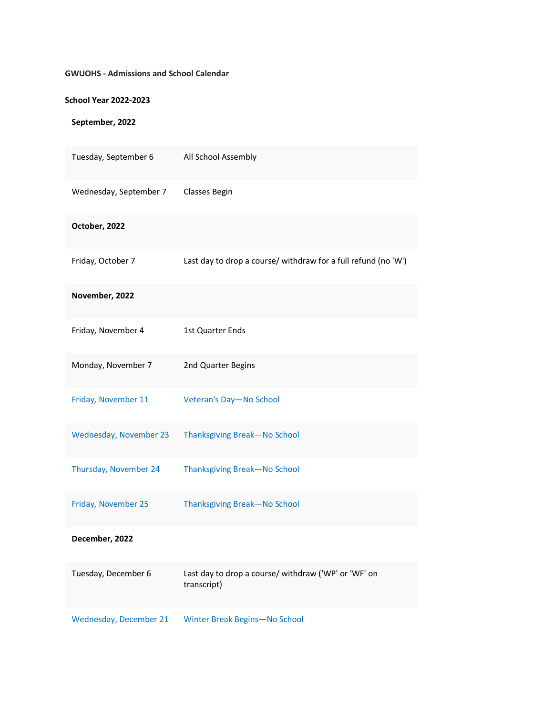## **GWUOHS - Admissions and School Calendar**

## **School Year 2022-2023**

## **September, 2022**

| Tuesday, September 6   | All School Assembly                                                 |
|------------------------|---------------------------------------------------------------------|
| Wednesday, September 7 | Classes Begin                                                       |
| October, 2022          |                                                                     |
| Friday, October 7      | Last day to drop a course/ withdraw for a full refund (no 'W')      |
| November, 2022         |                                                                     |
| Friday, November 4     | 1st Quarter Ends                                                    |
| Monday, November 7     | 2nd Quarter Begins                                                  |
| Friday, November 11    | Veteran's Day-No School                                             |
| Wednesday, November 23 | Thanksgiving Break-No School                                        |
| Thursday, November 24  | Thanksgiving Break-No School                                        |
| Friday, November 25    | Thanksgiving Break-No School                                        |
| December, 2022         |                                                                     |
| Tuesday, December 6    | Last day to drop a course/ withdraw ('WP' or 'WF' on<br>transcript) |
| Wednesday, December 21 | Winter Break Begins-No School                                       |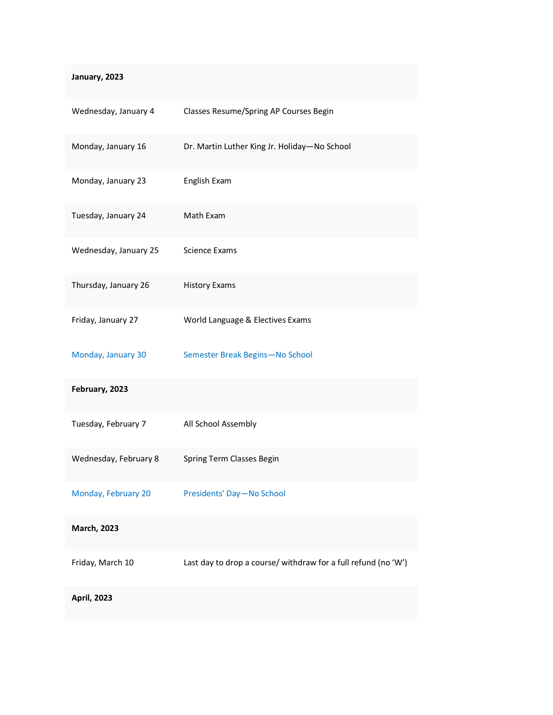| January, 2023         |                                                                |
|-----------------------|----------------------------------------------------------------|
| Wednesday, January 4  | Classes Resume/Spring AP Courses Begin                         |
| Monday, January 16    | Dr. Martin Luther King Jr. Holiday-No School                   |
| Monday, January 23    | English Exam                                                   |
| Tuesday, January 24   | Math Exam                                                      |
| Wednesday, January 25 | <b>Science Exams</b>                                           |
| Thursday, January 26  | <b>History Exams</b>                                           |
| Friday, January 27    | World Language & Electives Exams                               |
| Monday, January 30    | Semester Break Begins-No School                                |
| February, 2023        |                                                                |
| Tuesday, February 7   | All School Assembly                                            |
| Wednesday, February 8 | Spring Term Classes Begin                                      |
| Monday, February 20   | Presidents' Day-No School                                      |
| <b>March, 2023</b>    |                                                                |
| Friday, March 10      | Last day to drop a course/ withdraw for a full refund (no 'W') |
| <b>April, 2023</b>    |                                                                |